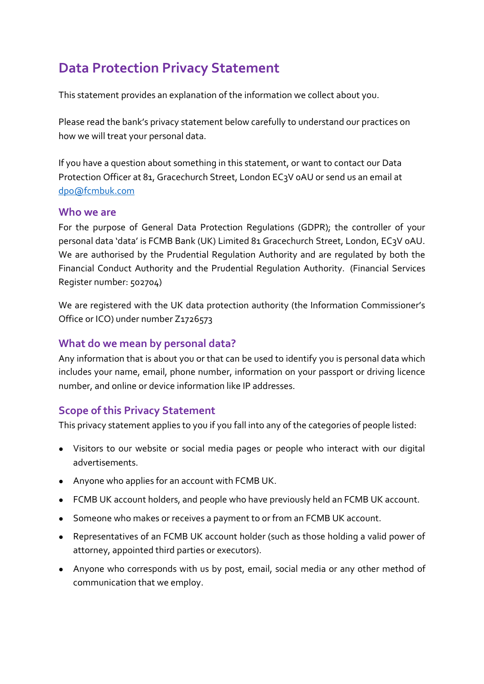# **Data Protection Privacy Statement**

This statement provides an explanation of the information we collect about you.

Please read the bank's privacy statement below carefully to understand our practices on how we will treat your personal data.

If you have a question about something in this statement, or want to contact our Data Protection Officer at 81, Gracechurch Street, London EC3V oAU or send us an email at [dpo@fcmbuk.com](mailto:dpo@fcmbuk.com)

#### **Who we are**

For the purpose of General Data Protection Regulations (GDPR); the controller of your personal data 'data' is FCMB Bank (UK) Limited 81 Gracechurch Street, London, EC3V 0AU. We are authorised by the Prudential Regulation Authority and are regulated by both the Financial Conduct Authority and the Prudential Regulation Authority. (Financial Services Register number: 502704)

We are registered with the UK data protection authority (the Information Commissioner's Office or ICO) under number Z1726573

## **What do we mean by personal data?**

Any information that is about you or that can be used to identify you is personal data which includes your name, email, phone number, information on your passport or driving licence number, and online or device information like IP addresses.

## **Scope of this Privacy Statement**

This privacy statement applies to you if you fall into any of the categories of people listed:

- Visitors to our website or social media pages or people who interact with our digital advertisements.
- Anyone who applies for an account with FCMB UK.
- FCMB UK account holders, and people who have previously held an FCMB UK account.
- Someone who makes or receives a payment to or from an FCMB UK account.
- Representatives of an FCMB UK account holder (such as those holding a valid power of attorney, appointed third parties or executors).
- Anyone who corresponds with us by post, email, social media or any other method of communication that we employ.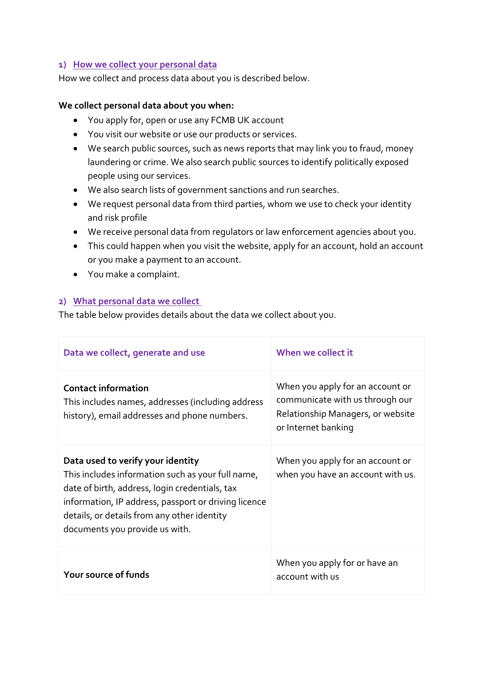#### **1) How we collect your personal data**

How we collect and process data about you is described below.

#### **We collect personal data about you when:**

- You apply for, open or use any FCMB UK account
- You visit our website or use our products or services.
- We search public sources, such as news reports that may link you to fraud, money laundering or crime. We also search public sources to identify politically exposed people using our services.
- We also search lists of government sanctions and run searches.
- We request personal data from third parties, whom we use to check your identity and risk profile
- We receive personal data from regulators or law enforcement agencies about you.
- This could happen when you visit the website, apply for an account, hold an account or you make a payment to an account.
- You make a complaint.

#### **2) What personal data we collect**

The table below provides details about the data we collect about you.

| Data we collect, generate and use                                                                                                                                                                                                                                                 | When we collect it                                                                                                              |
|-----------------------------------------------------------------------------------------------------------------------------------------------------------------------------------------------------------------------------------------------------------------------------------|---------------------------------------------------------------------------------------------------------------------------------|
| <b>Contact information</b><br>This includes names, addresses (including address<br>history), email addresses and phone numbers.                                                                                                                                                   | When you apply for an account or<br>communicate with us through our<br>Relationship Managers, or website<br>or Internet banking |
| Data used to verify your identity<br>This includes information such as your full name,<br>date of birth, address, login credentials, tax<br>information, IP address, passport or driving licence<br>details, or details from any other identity<br>documents you provide us with. | When you apply for an account or<br>when you have an account with us.                                                           |
| Your source of funds                                                                                                                                                                                                                                                              | When you apply for or have an<br>account with us                                                                                |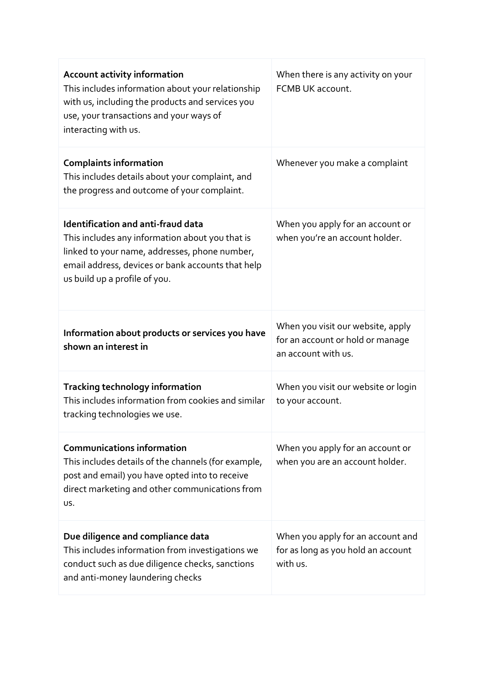| <b>Account activity information</b><br>This includes information about your relationship<br>with us, including the products and services you<br>use, your transactions and your ways of<br>interacting with us.                     | When there is any activity on your<br>FCMB UK account.                                       |
|-------------------------------------------------------------------------------------------------------------------------------------------------------------------------------------------------------------------------------------|----------------------------------------------------------------------------------------------|
| <b>Complaints information</b><br>This includes details about your complaint, and<br>the progress and outcome of your complaint.                                                                                                     | Whenever you make a complaint                                                                |
| <b>Identification and anti-fraud data</b><br>This includes any information about you that is<br>linked to your name, addresses, phone number,<br>email address, devices or bank accounts that help<br>us build up a profile of you. | When you apply for an account or<br>when you're an account holder.                           |
| Information about products or services you have<br>shown an interest in                                                                                                                                                             | When you visit our website, apply<br>for an account or hold or manage<br>an account with us. |
| <b>Tracking technology information</b><br>This includes information from cookies and similar<br>tracking technologies we use.                                                                                                       | When you visit our website or login<br>to your account.                                      |
| <b>Communications information</b><br>This includes details of the channels (for example,<br>post and email) you have opted into to receive<br>direct marketing and other communications from<br>US.                                 | When you apply for an account or<br>when you are an account holder.                          |
| Due diligence and compliance data<br>This includes information from investigations we<br>conduct such as due diligence checks, sanctions<br>and anti-money laundering checks                                                        | When you apply for an account and<br>for as long as you hold an account<br>with us.          |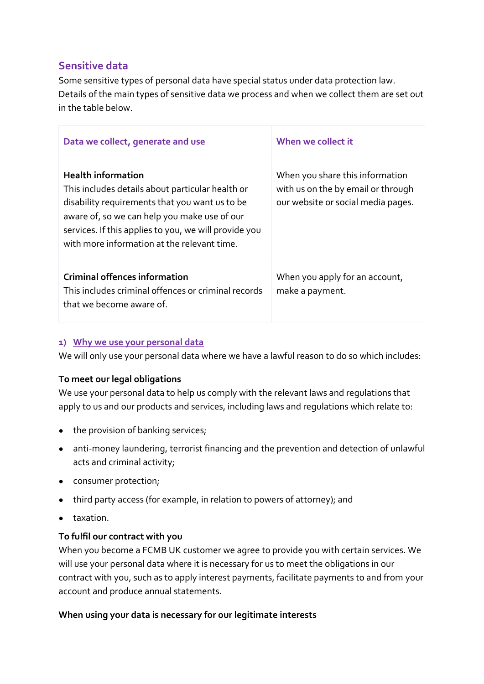## **Sensitive data**

Some sensitive types of personal data have special status under data protection law. Details of the main types of sensitive data we process and when we collect them are set out in the table below.

| Data we collect, generate and use                                                                                                                                                                                                                                                       | When we collect it                                                                                          |
|-----------------------------------------------------------------------------------------------------------------------------------------------------------------------------------------------------------------------------------------------------------------------------------------|-------------------------------------------------------------------------------------------------------------|
| <b>Health information</b><br>This includes details about particular health or<br>disability requirements that you want us to be<br>aware of, so we can help you make use of our<br>services. If this applies to you, we will provide you<br>with more information at the relevant time. | When you share this information<br>with us on the by email or through<br>our website or social media pages. |
| <b>Criminal offences information</b><br>This includes criminal offences or criminal records<br>that we become aware of.                                                                                                                                                                 | When you apply for an account,<br>make a payment.                                                           |

## **1) Why we use your personal data**

We will only use your personal data where we have a lawful reason to do so which includes:

## **To meet our legal obligations**

We use your personal data to help us comply with the relevant laws and regulations that apply to us and our products and services, including laws and regulations which relate to:

- the provision of banking services;
- anti-money laundering, terrorist financing and the prevention and detection of unlawful acts and criminal activity;
- consumer protection;
- third party access (for example, in relation to powers of attorney); and
- taxation.

## **To fulfil our contract with you**

When you become a FCMB UK customer we agree to provide you with certain services. We will use your personal data where it is necessary for us to meet the obligations in our contract with you, such as to apply interest payments, facilitate payments to and from your account and produce annual statements.

## **When using your data is necessary for our legitimate interests**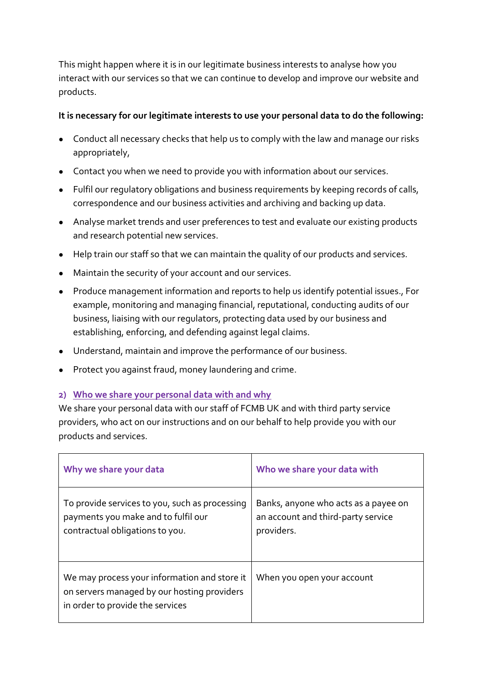This might happen where it is in our legitimate business interests to analyse how you interact with our services so that we can continue to develop and improve our website and products.

## **It is necessary for our legitimate interests to use your personal data to do the following:**

- Conduct all necessary checks that help us to comply with the law and manage our risks appropriately,
- Contact you when we need to provide you with information about our services.
- Fulfil our regulatory obligations and business requirements by keeping records of calls, correspondence and our business activities and archiving and backing up data.
- Analyse market trends and user preferences to test and evaluate our existing products and research potential new services.
- Help train our staff so that we can maintain the quality of our products and services.
- Maintain the security of your account and our services.
- Produce management information and reports to help us identify potential issues., For example, monitoring and managing financial, reputational, conducting audits of our business, liaising with our regulators, protecting data used by our business and establishing, enforcing, and defending against legal claims.
- Understand, maintain and improve the performance of our business.
- Protect you against fraud, money laundering and crime.

## **2) Who we share your personal data with and why**

We share your personal data with our staff of FCMB UK and with third party service providers, who act on our instructions and on our behalf to help provide you with our products and services.

| Why we share your data                                                                                                          | Who we share your data with                                                              |
|---------------------------------------------------------------------------------------------------------------------------------|------------------------------------------------------------------------------------------|
| To provide services to you, such as processing<br>payments you make and to fulfil our<br>contractual obligations to you.        | Banks, anyone who acts as a payee on<br>an account and third-party service<br>providers. |
| We may process your information and store it<br>on servers managed by our hosting providers<br>in order to provide the services | When you open your account                                                               |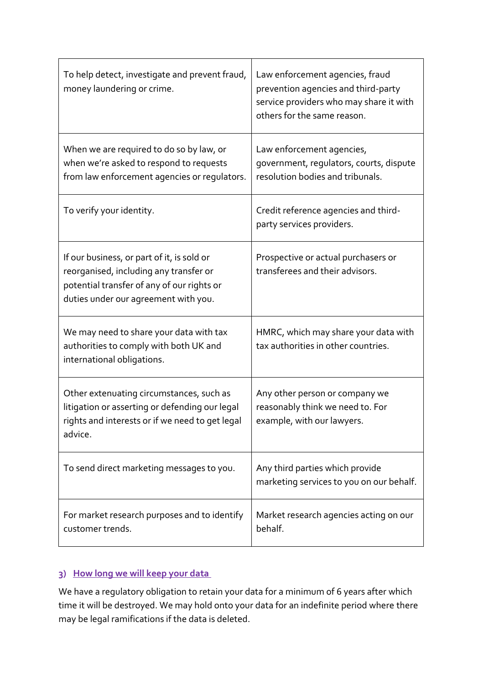| To help detect, investigate and prevent fraud,<br>money laundering or crime.                                                                                               | Law enforcement agencies, fraud<br>prevention agencies and third-party<br>service providers who may share it with<br>others for the same reason. |
|----------------------------------------------------------------------------------------------------------------------------------------------------------------------------|--------------------------------------------------------------------------------------------------------------------------------------------------|
| When we are required to do so by law, or<br>when we're asked to respond to requests<br>from law enforcement agencies or regulators.                                        | Law enforcement agencies,<br>government, regulators, courts, dispute<br>resolution bodies and tribunals.                                         |
| To verify your identity.                                                                                                                                                   | Credit reference agencies and third-<br>party services providers.                                                                                |
| If our business, or part of it, is sold or<br>reorganised, including any transfer or<br>potential transfer of any of our rights or<br>duties under our agreement with you. | Prospective or actual purchasers or<br>transferees and their advisors.                                                                           |
| We may need to share your data with tax<br>authorities to comply with both UK and<br>international obligations.                                                            | HMRC, which may share your data with<br>tax authorities in other countries.                                                                      |
| Other extenuating circumstances, such as<br>litigation or asserting or defending our legal<br>rights and interests or if we need to get legal<br>advice.                   | Any other person or company we<br>reasonably think we need to. For<br>example, with our lawyers.                                                 |
| To send direct marketing messages to you.                                                                                                                                  | Any third parties which provide<br>marketing services to you on our behalf.                                                                      |
| For market research purposes and to identify<br>customer trends.                                                                                                           | Market research agencies acting on our<br>behalf.                                                                                                |

## **3) How long we will keep your data**

We have a regulatory obligation to retain your data for a minimum of 6 years after which time it will be destroyed. We may hold onto your data for an indefinite period where there may be legal ramifications if the data is deleted.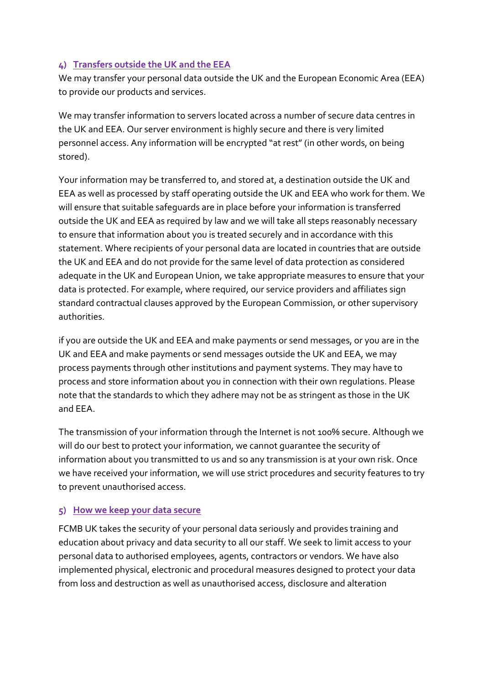## **4) Transfers outside the UK and the EEA**

We may transfer your personal data outside the UK and the European Economic Area (EEA) to provide our products and services.

We may transfer information to servers located across a number of secure data centres in the UK and EEA. Our server environment is highly secure and there is very limited personnel access. Any information will be encrypted "at rest" (in other words, on being stored).

Your information may be transferred to, and stored at, a destination outside the UK and EEA as well as processed by staff operating outside the UK and EEA who work for them. We will ensure that suitable safeguards are in place before your information is transferred outside the UK and EEA as required by law and we will take all steps reasonably necessary to ensure that information about you is treated securely and in accordance with this statement. Where recipients of your personal data are located in countries that are outside the UK and EEA and do not provide for the same level of data protection as considered adequate in the UK and European Union, we take appropriate measures to ensure that your data is protected. For example, where required, our service providers and affiliates sign standard contractual clauses approved by the European Commission, or other supervisory authorities.

if you are outside the UK and EEA and make payments or send messages, or you are in the UK and EEA and make payments or send messages outside the UK and EEA, we may process payments through other institutions and payment systems. They may have to process and store information about you in connection with their own regulations. Please note that the standards to which they adhere may not be as stringent as those in the UK and EEA.

The transmission of your information through the Internet is not 100% secure. Although we will do our best to protect your information, we cannot guarantee the security of information about you transmitted to us and so any transmission is at your own risk. Once we have received your information, we will use strict procedures and security features to try to prevent unauthorised access.

## **5) How we keep your data secure**

FCMB UK takes the security of your personal data seriously and provides training and education about privacy and data security to all our staff. We seek to limit access to your personal data to authorised employees, agents, contractors or vendors. We have also implemented physical, electronic and procedural measures designed to protect your data from loss and destruction as well as unauthorised access, disclosure and alteration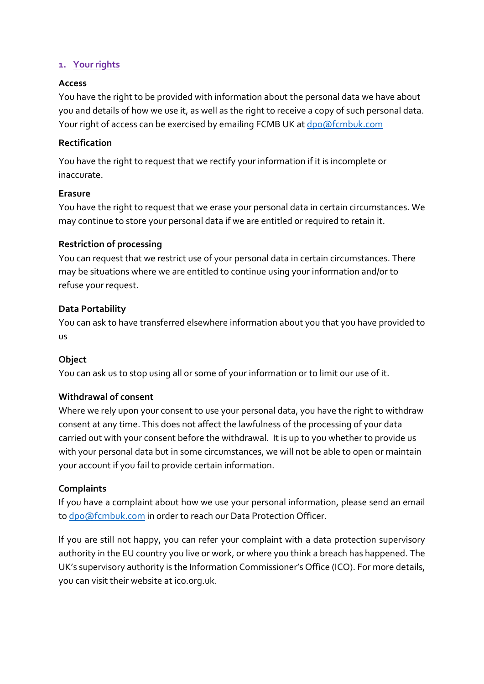## **1. Your rights**

#### **Access**

You have the right to be provided with information about the personal data we have about you and details of how we use it, as well as the right to receive a copy of such personal data. Your right of access can be exercised by emailing FCMB UK a[t dpo@fcmbuk.com](mailto:dpo@roava.app)

#### **Rectification**

You have the right to request that we rectify your information if it is incomplete or inaccurate.

#### **Erasure**

You have the right to request that we erase your personal data in certain circumstances. We may continue to store your personal data if we are entitled or required to retain it.

#### **Restriction of processing**

You can request that we restrict use of your personal data in certain circumstances. There may be situations where we are entitled to continue using your information and/or to refuse your request.

#### **Data Portability**

You can ask to have transferred elsewhere information about you that you have provided to us

## **Object**

You can ask us to stop using all or some of your information or to limit our use of it.

## **Withdrawal of consent**

Where we rely upon your consent to use your personal data, you have the right to withdraw consent at any time. This does not affect the lawfulness of the processing of your data carried out with your consent before the withdrawal. It is up to you whether to provide us with your personal data but in some circumstances, we will not be able to open or maintain your account if you fail to provide certain information.

## **Complaints**

If you have a complaint about how we use your personal information, please send an email to [dpo@fcmbuk.com](mailto:dpo@fcmbuk.com) in order to reach our Data Protection Officer.

If you are still not happy, you can refer your complaint with a data protection supervisory authority in the EU country you live or work, or where you think a breach has happened. The UK's supervisory authority is the Information Commissioner's Office (ICO). For more details, you can visit their website at ico.org.uk.